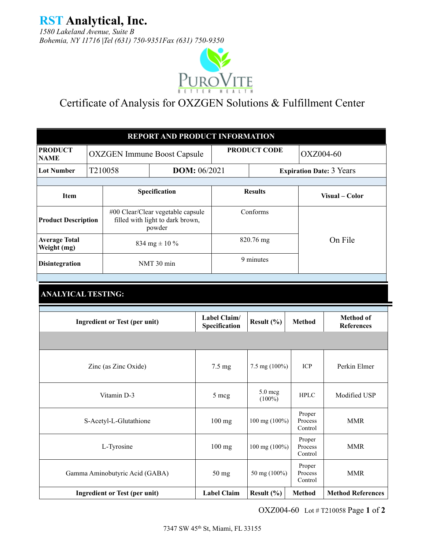**RST Analytical, Inc.** 

*1580 Lakeland Avenue, Suite B Bohemia, NY 11716 |Tel (631) 750-9351Fax (631) 750-9350*



## Certificate of Analysis for OXZGEN Solutions & Fulfillment Center

|                                     |         |                                      | REPORT AND PRODUCT INFORMATION                                                  |  |                               |                      |                                 |                                       |  |
|-------------------------------------|---------|--------------------------------------|---------------------------------------------------------------------------------|--|-------------------------------|----------------------|---------------------------------|---------------------------------------|--|
| <b>PRODUCT</b><br><b>NAME</b>       |         |                                      | PRODUCT CODE<br>OXZ004-60<br><b>OXZGEN Immune Boost Capsule</b>                 |  |                               |                      |                                 |                                       |  |
| <b>Lot Number</b>                   | T210058 | DOM: 06/2021                         |                                                                                 |  |                               |                      | <b>Expiration Date: 3 Years</b> |                                       |  |
|                                     |         |                                      |                                                                                 |  |                               |                      |                                 |                                       |  |
| Item                                |         |                                      | Specification                                                                   |  |                               | <b>Results</b>       |                                 | Visual - Color                        |  |
| <b>Product Description</b>          |         |                                      | #00 Clear/Clear vegetable capsule<br>filled with light to dark brown,<br>powder |  |                               | Conforms             |                                 |                                       |  |
| <b>Average Total</b><br>Weight (mg) |         |                                      | 834 mg $\pm$ 10 %                                                               |  |                               | 820.76 mg            |                                 | On File                               |  |
| <b>Disintegration</b>               |         |                                      | NMT 30 min                                                                      |  |                               | 9 minutes            |                                 |                                       |  |
|                                     |         |                                      |                                                                                 |  |                               |                      |                                 |                                       |  |
| <b>ANALYICAL TESTING:</b>           |         |                                      |                                                                                 |  |                               |                      |                                 |                                       |  |
|                                     |         | <b>Ingredient or Test (per unit)</b> |                                                                                 |  | Label Claim/<br>Specification | Result $(\% )$       | <b>Method</b>                   | <b>Method of</b><br><b>References</b> |  |
|                                     |         |                                      |                                                                                 |  |                               |                      |                                 |                                       |  |
|                                     |         | Zinc (as Zinc Oxide)                 |                                                                                 |  | $7.5 \text{ mg}$              | 7.5 mg (100%)        | ICP                             | Perkin Elmer                          |  |
|                                     |         | Vitamin D-3                          |                                                                                 |  | 5 mcg                         | 5.0 mcg<br>$(100\%)$ | <b>HPLC</b>                     | Modified USP                          |  |
|                                     |         | S-Acetyl-L-Glutathione               |                                                                                 |  | $100$ mg                      | 100 mg (100%)        | Proper<br>Process<br>Control    | <b>MMR</b>                            |  |
|                                     |         | L-Tyrosine                           |                                                                                 |  | $100$ mg                      | 100 mg (100%)        | Proper<br>Process<br>Control    | <b>MMR</b>                            |  |
|                                     |         | Gamma Aminobutyric Acid (GABA)       |                                                                                 |  | $50$ mg                       | 50 mg (100%)         | Proper<br>Process<br>Control    | <b>MMR</b>                            |  |
|                                     |         | <b>Ingredient or Test (per unit)</b> |                                                                                 |  | <b>Label Claim</b>            | Result $(\% )$       | <b>Method</b>                   | <b>Method References</b>              |  |

OXZ004-60 Lot # T210058 Page **1** of **2**